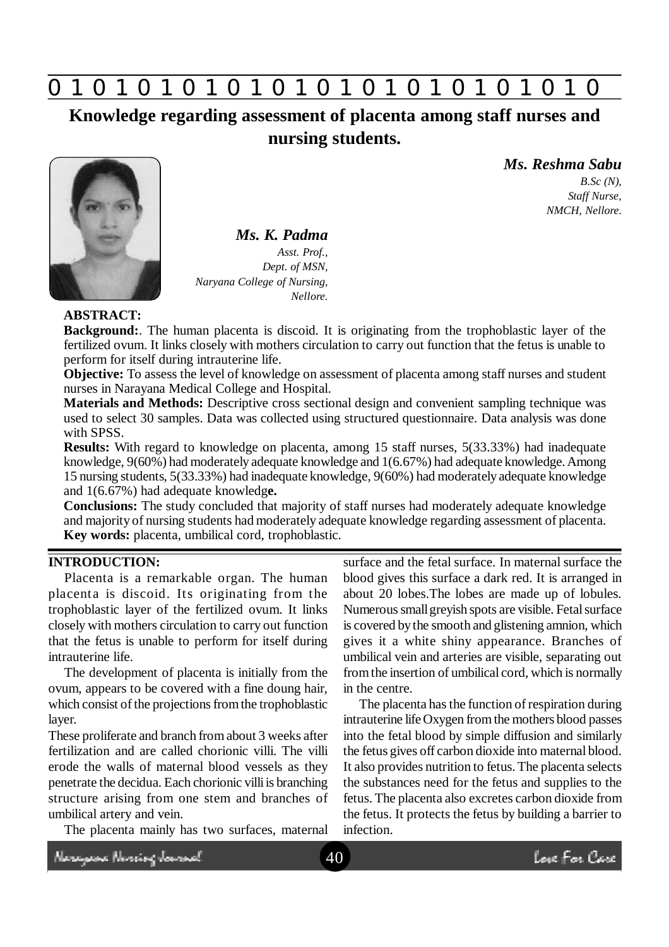

**Knowledge regarding assessment of placenta among staff nurses and nursing students.**



*Ms. K. Padma Asst. Prof., Dept. of MSN, Naryana College of Nursing,*

## *Ms. Reshma Sabu*

*B.Sc (N), Staff Nurse, NMCH, Nellore.*

## **ABSTRACT:**

**Background:**. The human placenta is discoid. It is originating from the trophoblastic layer of the fertilized ovum. It links closely with mothers circulation to carry out function that the fetus is unable to perform for itself during intrauterine life.

*Nellore.*

**Objective:** To assess the level of knowledge on assessment of placenta among staff nurses and student nurses in Narayana Medical College and Hospital.

**Materials and Methods:** Descriptive cross sectional design and convenient sampling technique was used to select 30 samples. Data was collected using structured questionnaire. Data analysis was done with SPSS.

**Results:** With regard to knowledge on placenta, among 15 staff nurses, 5(33.33%) had inadequate knowledge, 9(60%) had moderately adequate knowledge and 1(6.67%) had adequate knowledge. Among 15 nursing students, 5(33.33%) had inadequate knowledge, 9(60%) had moderately adequate knowledge and 1(6.67%) had adequate knowledg**e.**

**Conclusions:** The study concluded that majority of staff nurses had moderately adequate knowledge and majority of nursing students had moderately adequate knowledge regarding assessment of placenta. **Key words:** placenta, umbilical cord, trophoblastic.

## **INTRODUCTION:**

Placenta is a remarkable organ. The human placenta is discoid. Its originating from the trophoblastic layer of the fertilized ovum. It links closely with mothers circulation to carry out function that the fetus is unable to perform for itself during intrauterine life.

The development of placenta is initially from the ovum, appears to be covered with a fine doung hair, which consist of the projections from the trophoblastic layer.

These proliferate and branch from about 3 weeks after fertilization and are called chorionic villi. The villi erode the walls of maternal blood vessels as they penetrate the decidua. Each chorionic villi is branching structure arising from one stem and branches of umbilical artery and vein.

The placenta mainly has two surfaces, maternal

surface and the fetal surface. In maternal surface the blood gives this surface a dark red. It is arranged in about 20 lobes.The lobes are made up of lobules. Numerous small greyish spots are visible. Fetal surface is covered by the smooth and glistening amnion, which gives it a white shiny appearance. Branches of umbilical vein and arteries are visible, separating out from the insertion of umbilical cord, which is normally in the centre.

The placenta has the function of respiration during intrauterine life Oxygen from the mothers blood passes into the fetal blood by simple diffusion and similarly the fetus gives off carbon dioxide into maternal blood. It also provides nutrition to fetus. The placenta selects the substances need for the fetus and supplies to the fetus. The placenta also excretes carbon dioxide from the fetus. It protects the fetus by building a barrier to infection.

Neregeae Nereing James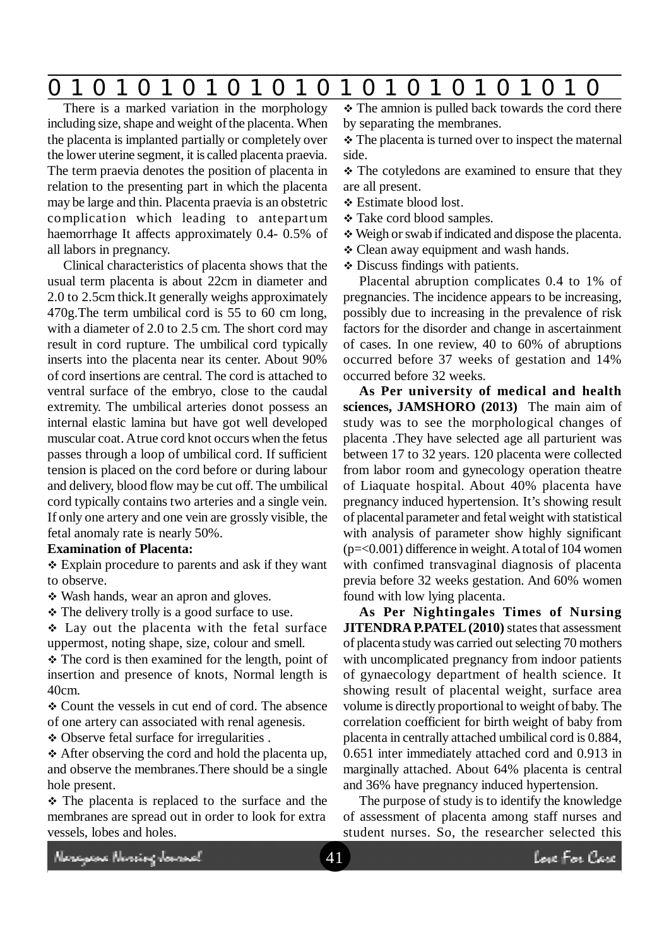# **0 z 0 z 0 z 0 z 0 z 0 z 0 z 0 z 0 z 0 z 0 z 0 z 0**

There is a marked variation in the morphology including size, shape and weight of the placenta. When the placenta is implanted partially or completely over the lower uterine segment, it is called placenta praevia. The term praevia denotes the position of placenta in relation to the presenting part in which the placenta may be large and thin. Placenta praevia is an obstetric complication which leading to antepartum haemorrhage It affects approximately 0.4- 0.5% of all labors in pregnancy.

Clinical characteristics of placenta shows that the usual term placenta is about 22cm in diameter and 2.0 to 2.5cm thick.It generally weighs approximately 470g.The term umbilical cord is 55 to 60 cm long, with a diameter of 2.0 to 2.5 cm. The short cord may result in cord rupture. The umbilical cord typically inserts into the placenta near its center. About 90% of cord insertions are central. The cord is attached to ventral surface of the embryo, close to the caudal extremity. The umbilical arteries donot possess an internal elastic lamina but have got well developed muscular coat. A true cord knot occurs when the fetus passes through a loop of umbilical cord. If sufficient tension is placed on the cord before or during labour and delivery, blood flow may be cut off. The umbilical cord typically contains two arteries and a single vein. If only one artery and one vein are grossly visible, the fetal anomaly rate is nearly 50%.

#### **Examination of Placenta:**

 Explain procedure to parents and ask if they want to observe.

• Wash hands, wear an apron and gloves.

• The delivery trolly is a good surface to use.

 Lay out the placenta with the fetal surface uppermost, noting shape, size, colour and smell.

 $\triangle$  The cord is then examined for the length, point of insertion and presence of knots, Normal length is 40cm.

 Count the vessels in cut end of cord. The absence of one artery can associated with renal agenesis.

Observe fetal surface for irregularities .

 After observing the cord and hold the placenta up, and observe the membranes.There should be a single hole present.

 $\div$  The placenta is replaced to the surface and the membranes are spread out in order to look for extra vessels, lobes and holes.

 $\div$  The amnion is pulled back towards the cord there by separating the membranes.

\* The placenta is turned over to inspect the maternal side.

• The cotyledons are examined to ensure that they are all present.

- Estimate blood lost.
- \* Take cord blood samples.
- Weigh or swab if indicated and dispose the placenta.
- Clean away equipment and wash hands.
- Discuss findings with patients.

Placental abruption complicates 0.4 to 1% of pregnancies. The incidence appears to be increasing, possibly due to increasing in the prevalence of risk factors for the disorder and change in ascertainment of cases. In one review, 40 to 60% of abruptions occurred before 37 weeks of gestation and 14% occurred before 32 weeks.

**As Per university of medical and health sciences, JAMSHORO (2013)** The main aim of study was to see the morphological changes of placenta .They have selected age all parturient was between 17 to 32 years. 120 placenta were collected from labor room and gynecology operation theatre of Liaquate hospital. About 40% placenta have pregnancy induced hypertension. It's showing result of placental parameter and fetal weight with statistical with analysis of parameter show highly significant  $(p=<0.001)$  difference in weight. A total of 104 women with confimed transvaginal diagnosis of placenta previa before 32 weeks gestation. And 60% women found with low lying placenta.

**As Per Nightingales Times of Nursing JITENDRA P.PATEL (2010)** states that assessment of placenta study was carried out selecting 70 mothers with uncomplicated pregnancy from indoor patients of gynaecology department of health science. It showing result of placental weight, surface area volume is directly proportional to weight of baby. The correlation coefficient for birth weight of baby from placenta in centrally attached umbilical cord is 0.884, 0.651 inter immediately attached cord and 0.913 in marginally attached. About 64% placenta is central and 36% have pregnancy induced hypertension.

The purpose of study is to identify the knowledge of assessment of placenta among staff nurses and student nurses. So, the researcher selected this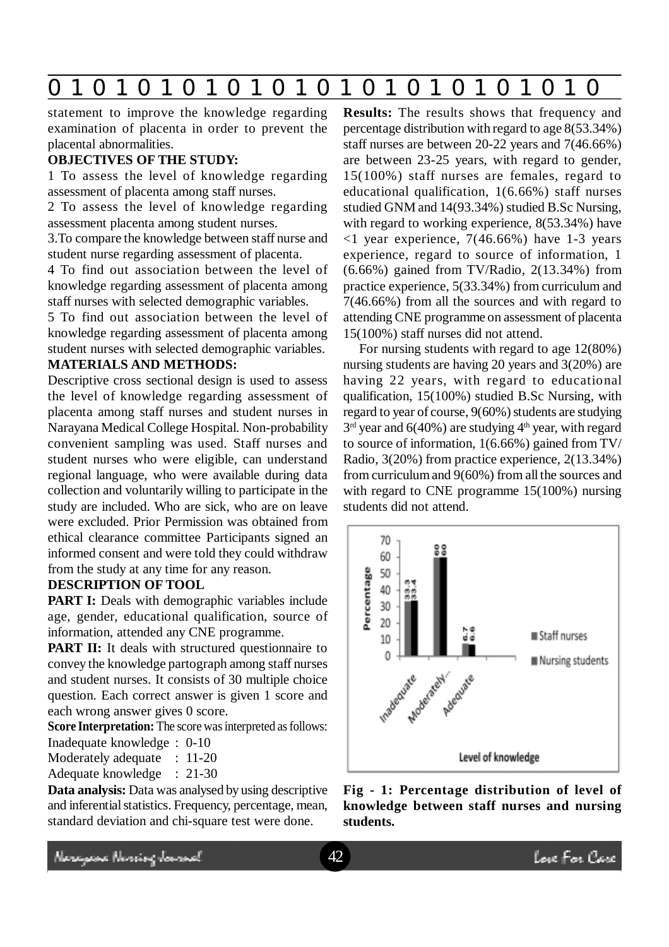

statement to improve the knowledge regarding examination of placenta in order to prevent the placental abnormalities.

#### **OBJECTIVES OF THE STUDY:**

1 To assess the level of knowledge regarding assessment of placenta among staff nurses.

2 To assess the level of knowledge regarding assessment placenta among student nurses.

3.To compare the knowledge between staff nurse and student nurse regarding assessment of placenta.

4 To find out association between the level of knowledge regarding assessment of placenta among staff nurses with selected demographic variables.

5 To find out association between the level of knowledge regarding assessment of placenta among student nurses with selected demographic variables.

## **MATERIALS AND METHODS:**

Descriptive cross sectional design is used to assess the level of knowledge regarding assessment of placenta among staff nurses and student nurses in Narayana Medical College Hospital. Non-probability convenient sampling was used. Staff nurses and student nurses who were eligible, can understand regional language, who were available during data collection and voluntarily willing to participate in the study are included. Who are sick, who are on leave were excluded. Prior Permission was obtained from ethical clearance committee Participants signed an informed consent and were told they could withdraw from the study at any time for any reason.

#### **DESCRIPTION OF TOOL**

**PART I:** Deals with demographic variables include age, gender, educational qualification, source of information, attended any CNE programme.

**PART II:** It deals with structured questionnaire to convey the knowledge partograph among staff nurses and student nurses. It consists of 30 multiple choice question. Each correct answer is given 1 score and each wrong answer gives 0 score.

**Score Interpretation:** The score was interpreted as follows:

Inadequate knowledge : 0-10

Moderately adequate : 11-20

Adequate knowledge : 21-30

**Data analysis:** Data was analysed by using descriptive and inferential statistics. Frequency, percentage, mean, standard deviation and chi-square test were done.

**Results:** The results shows that frequency and percentage distribution with regard to age 8(53.34%) staff nurses are between 20-22 years and 7(46.66%) are between 23-25 years, with regard to gender, 15(100%) staff nurses are females, regard to educational qualification, 1(6.66%) staff nurses studied GNM and 14(93.34%) studied B.Sc Nursing, with regard to working experience,  $8(53.34%)$  have  $\langle$ 1 year experience, 7(46.66%) have 1-3 years experience, regard to source of information, 1 (6.66%) gained from TV/Radio, 2(13.34%) from practice experience, 5(33.34%) from curriculum and 7(46.66%) from all the sources and with regard to attending CNE programme on assessment of placenta 15(100%) staff nurses did not attend.

For nursing students with regard to age 12(80%) nursing students are having 20 years and 3(20%) are having 22 years, with regard to educational qualification, 15(100%) studied B.Sc Nursing, with regard to year of course, 9(60%) students are studying  $3<sup>rd</sup>$  year and 6(40%) are studying 4<sup>th</sup> year, with regard to source of information, 1(6.66%) gained from TV/ Radio, 3(20%) from practice experience, 2(13.34%) from curriculum and 9(60%) from all the sources and with regard to CNE programme 15(100%) nursing students did not attend.



**Fig - 1: Percentage distribution of level of knowledge between staff nurses and nursing students.**

Neregeae Norriog Journal